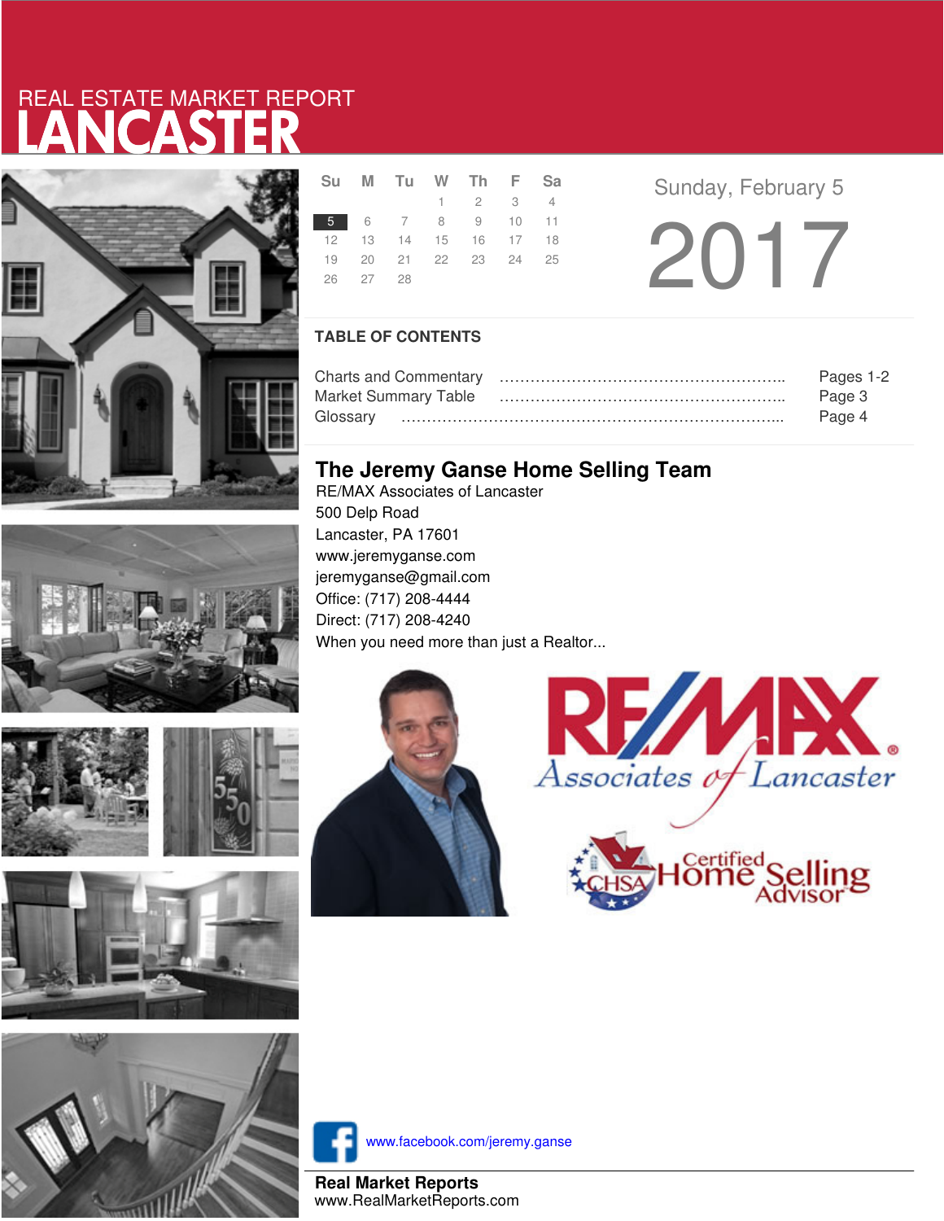# LANCASTER REAL ESTATE MARKET REPORT









|          | Su M Tu W Th F Sa    |                 |  |
|----------|----------------------|-----------------|--|
|          |                      | $1 \t2 \t3 \t4$ |  |
|          | 5 6 7 8 9 10 11      |                 |  |
|          | 12 13 14 15 16 17 18 |                 |  |
|          | 19 20 21 22 23 24 25 |                 |  |
| 26 27 28 |                      |                 |  |
|          |                      |                 |  |

**Sunday, February 5** 2017

### **TABLE OF CONTENTS**

|                      | Pages 1-2 |
|----------------------|-----------|
| Market Summary Table | Page 3    |
|                      | Page 4    |

## **The Jeremy Ganse Home Selling Team**

RE/MAX Associates of Lancaster 500 Delp Road Lancaster, PA 17601 www.jeremyganse.com jeremyganse@gmail.com Office: (717) 208-4444 Direct: (717) 208-4240 When you need more than just a Realtor...







www.facebook.com/jeremy.ganse

**Real Market Reports** www.RealMarketReports.com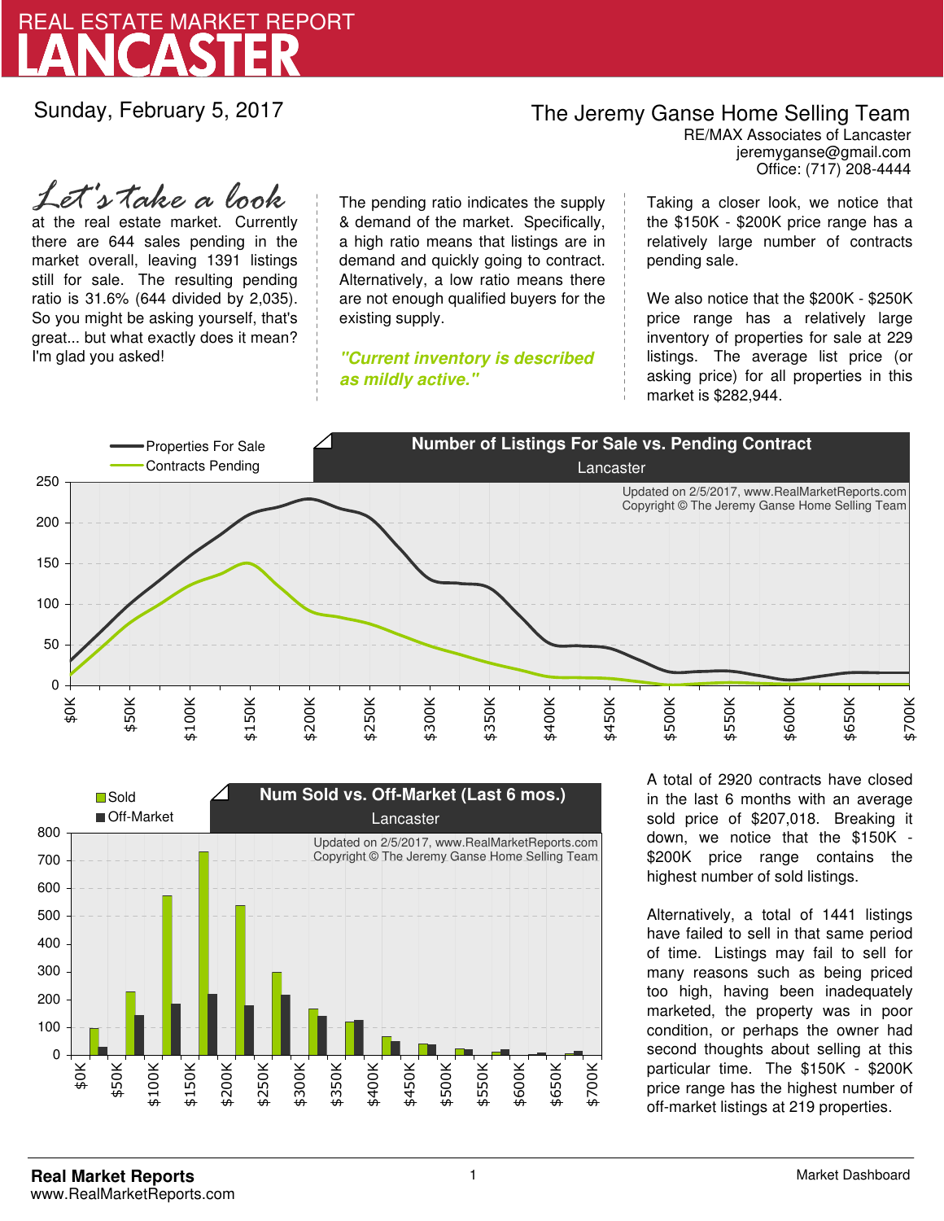

Sunday, February 5, 2017

## The Jeremy Ganse Home Selling Team

jeremyganse@gmail.com RE/MAX Associates of Lancaster Office: (717) 208-4444

at the real estate market. Currently there are 644 sales pending in the market overall, leaving 1391 listings still for sale. The resulting pending ratio is 31.6% (644 divided by 2,035). So you might be asking yourself, that's great... but what exactly does it mean? I'm glad you asked! *Let's take a look*

The pending ratio indicates the supply & demand of the market. Specifically, a high ratio means that listings are in demand and quickly going to contract. Alternatively, a low ratio means there are not enough qualified buyers for the existing supply.

**"Current inventory is described as mildly active."**

Taking a closer look, we notice that the \$150K - \$200K price range has a relatively large number of contracts pending sale.

We also notice that the \$200K - \$250K price range has a relatively large inventory of properties for sale at 229 listings. The average list price (or asking price) for all properties in this market is \$282,944.





A total of 2920 contracts have closed in the last 6 months with an average sold price of \$207,018. Breaking it down, we notice that the \$150K - \$200K price range contains the highest number of sold listings.

Alternatively, a total of 1441 listings have failed to sell in that same period of time. Listings may fail to sell for many reasons such as being priced too high, having been inadequately marketed, the property was in poor condition, or perhaps the owner had second thoughts about selling at this particular time. The \$150K - \$200K price range has the highest number of off-market listings at 219 properties.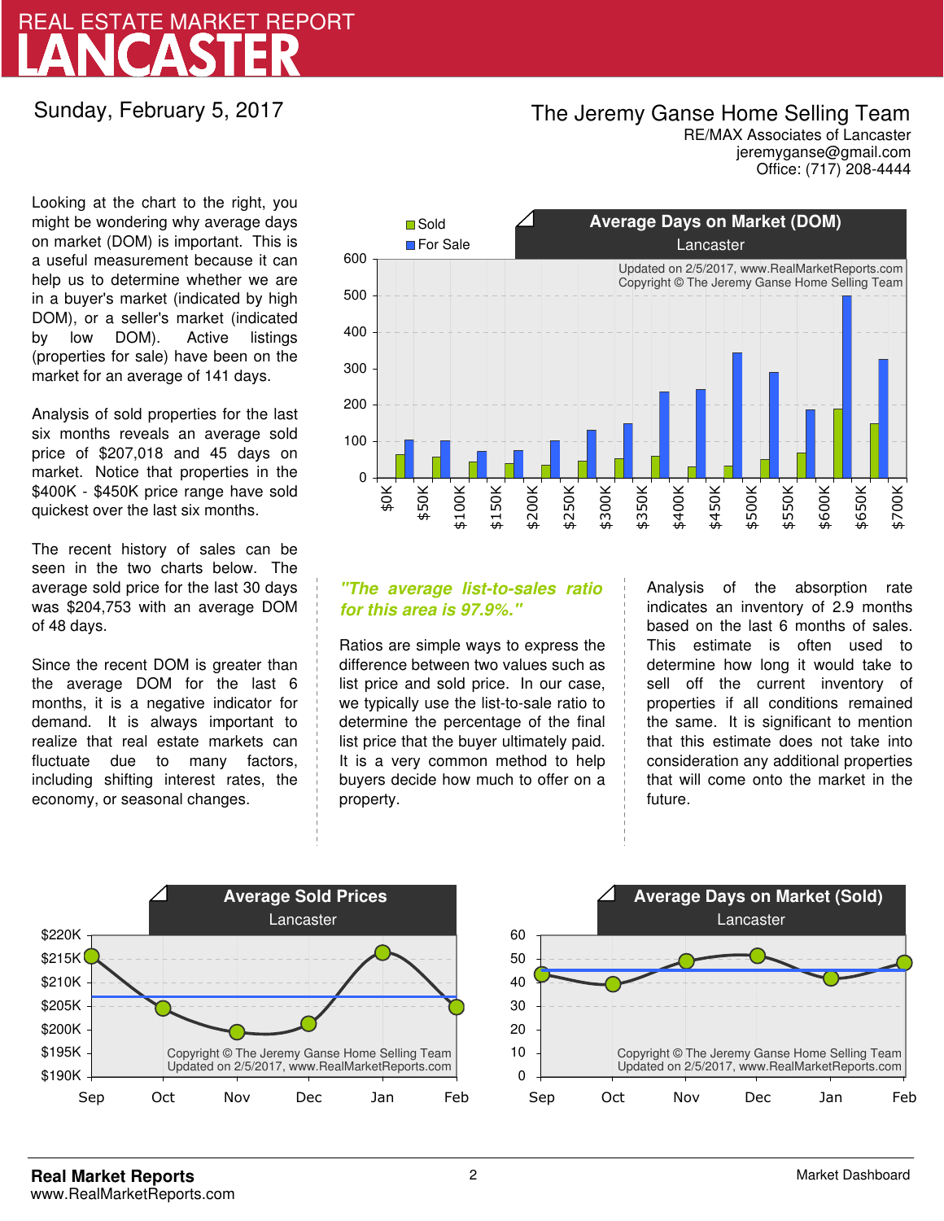# LANCASTER REAL ESTATE MARKET REPORT

### Sunday, February 5, 2017

## The Jeremy Ganse Home Selling Team

jeremyganse@gmail.com RE/MAX Associates of Lancaster Office: (717) 208-4444

Looking at the chart to the right, you might be wondering why average days on market (DOM) is important. This is a useful measurement because it can help us to determine whether we are in a buyer's market (indicated by high DOM), or a seller's market (indicated by low DOM). Active listings (properties for sale) have been on the market for an average of 141 days.

Analysis of sold properties for the last six months reveals an average sold price of \$207,018 and 45 days on market. Notice that properties in the \$400K - \$450K price range have sold quickest over the last six months.

The recent history of sales can be seen in the two charts below. The average sold price for the last 30 days was \$204,753 with an average DOM of 48 days.

Since the recent DOM is greater than the average DOM for the last 6 months, it is a negative indicator for demand. It is always important to realize that real estate markets can fluctuate due to many factors, including shifting interest rates, the economy, or seasonal changes.



### **"The average list-to-sales ratio for this area is 97.9%."**

Ratios are simple ways to express the difference between two values such as list price and sold price. In our case, we typically use the list-to-sale ratio to determine the percentage of the final list price that the buyer ultimately paid. It is a very common method to help buyers decide how much to offer on a property.

Analysis of the absorption rate indicates an inventory of 2.9 months based on the last 6 months of sales. This estimate is often used to determine how long it would take to sell off the current inventory of properties if all conditions remained the same. It is significant to mention that this estimate does not take into consideration any additional properties that will come onto the market in the future.



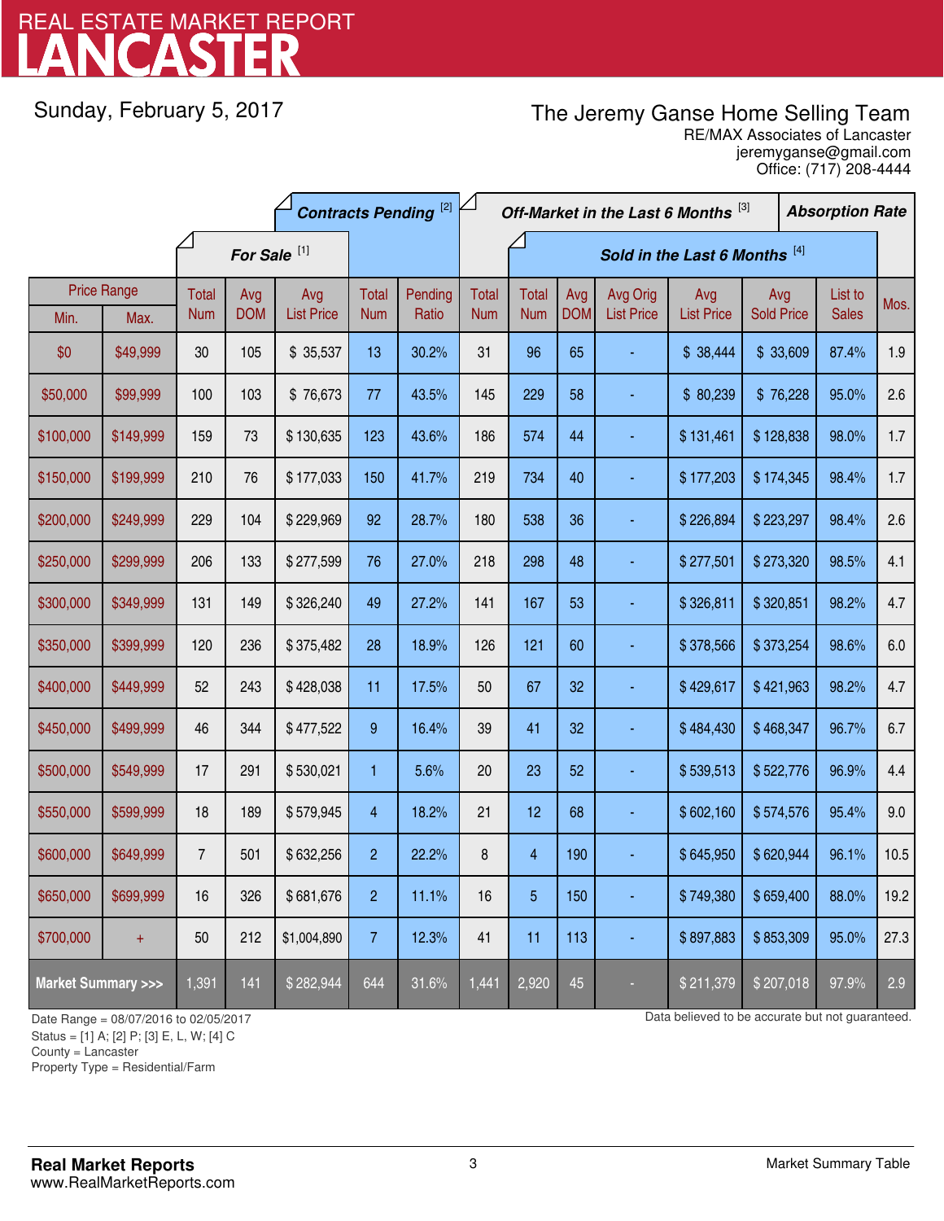# LANCASTER REAL ESTATE MARKET REPORT

Sunday, February 5, 2017

# The Jeremy Ganse Home Selling Team

jeremyganse@gmail.com RE/MAX Associates of Lancaster Office: (717) 208-4444

| <b>Contracts Pending [2]</b>       |           |                         |            |                   | Off-Market in the Last 6 Months [3]<br><b>Absorption Rate</b> |         |                               |                |            |                   |                   |                   |  |              |      |
|------------------------------------|-----------|-------------------------|------------|-------------------|---------------------------------------------------------------|---------|-------------------------------|----------------|------------|-------------------|-------------------|-------------------|--|--------------|------|
|                                    |           | For Sale <sup>[1]</sup> |            |                   |                                                               |         | Sold in the Last 6 Months [4] |                |            |                   |                   |                   |  |              |      |
| <b>Price Range</b>                 |           | Total                   | Avg        | Avg               | Total                                                         | Pending | <b>Total</b>                  | <b>Total</b>   | Avg        | Avg Orig          | Avg               | Avg               |  | List to      | Mos. |
| Min.                               | Max.      | <b>Num</b>              | <b>DOM</b> | <b>List Price</b> | <b>Num</b>                                                    | Ratio   | <b>Num</b>                    | <b>Num</b>     | <b>DOM</b> | <b>List Price</b> | <b>List Price</b> | <b>Sold Price</b> |  | <b>Sales</b> |      |
| \$0                                | \$49,999  | 30 <sub>o</sub>         | 105        | \$35,537          | 13                                                            | 30.2%   | 31                            | 96             | 65         |                   | \$38,444          | \$33,609          |  | 87.4%        | 1.9  |
| \$50,000                           | \$99,999  | 100                     | 103        | \$76,673          | 77                                                            | 43.5%   | 145                           | 229            | 58         |                   | \$80,239          | \$76,228          |  | 95.0%        | 2.6  |
| \$100,000                          | \$149,999 | 159                     | 73         | \$130,635         | 123                                                           | 43.6%   | 186                           | 574            | 44         |                   | \$131,461         | \$128,838         |  | 98.0%        | 1.7  |
| \$150,000                          | \$199,999 | 210                     | 76         | \$177,033         | 150                                                           | 41.7%   | 219                           | 734            | 40         |                   | \$177,203         | \$174,345         |  | 98.4%        | 1.7  |
| \$200,000                          | \$249,999 | 229                     | 104        | \$229,969         | 92                                                            | 28.7%   | 180                           | 538            | 36         |                   | \$226,894         | \$223,297         |  | 98.4%        | 2.6  |
| \$250,000                          | \$299,999 | 206                     | 133        | \$277,599         | 76                                                            | 27.0%   | 218                           | 298            | 48         |                   | \$277,501         | \$273,320         |  | 98.5%        | 4.1  |
| \$300,000                          | \$349,999 | 131                     | 149        | \$326,240         | 49                                                            | 27.2%   | 141                           | 167            | 53         |                   | \$326,811         | \$320,851         |  | 98.2%        | 4.7  |
| \$350,000                          | \$399,999 | 120                     | 236        | \$375,482         | 28                                                            | 18.9%   | 126                           | 121            | 60         |                   | \$378,566         | \$373,254         |  | 98.6%        | 6.0  |
| \$400,000                          | \$449,999 | 52                      | 243        | \$428,038         | 11                                                            | 17.5%   | 50                            | 67             | 32         |                   | \$429,617         | \$421,963         |  | 98.2%        | 4.7  |
| \$450,000                          | \$499,999 | 46                      | 344        | \$477,522         | $9\,$                                                         | 16.4%   | 39                            | 41             | 32         |                   | \$484,430         | \$468,347         |  | 96.7%        | 6.7  |
| \$500,000                          | \$549,999 | 17                      | 291        | \$530,021         | $\mathbf{1}$                                                  | 5.6%    | 20                            | 23             | 52         |                   | \$539,513         | \$522,776         |  | 96.9%        | 4.4  |
| \$550,000                          | \$599,999 | 18                      | 189        | \$579,945         | $\overline{4}$                                                | 18.2%   | 21                            | 12             | 68         |                   | \$602,160         | \$574,576         |  | 95.4%        | 9.0  |
| \$600,000                          | \$649,999 | $\overline{7}$          | 501        | \$632,256         | $\overline{2}$                                                | 22.2%   | 8                             | $\overline{4}$ | 190        |                   | \$645,950         | \$620,944         |  | 96.1%        | 10.5 |
| \$650,000                          | \$699,999 | 16                      | 326        | \$681,676         | $\overline{c}$                                                | 11.1%   | 16                            | 5              | 150        |                   | \$749,380         | \$659,400         |  | 88.0%        | 19.2 |
| \$700,000                          | $\ddot{}$ | 50                      | 212        | \$1,004,890       | $\overline{7}$                                                | 12.3%   | 41                            | 11             | 113        | ÷                 | \$897,883         | \$853,309         |  | 95.0%        | 27.3 |
| <b>Market Summary &gt;&gt;&gt;</b> |           | 1,391                   | 141        | \$282,944         | 644                                                           | 31.6%   | 1,441                         | 2,920          | 45         |                   | \$211,379         | \$207,018         |  | 97.9%        | 2.9  |

Status = [1] A; [2] P; [3] E, L, W; [4] C

County = Lancaster

1

Property Type = Residential/Farm

Date Range = 08/07/2016 to 02/05/2017 Date Range = 08/07/2016 to 02/05/2017